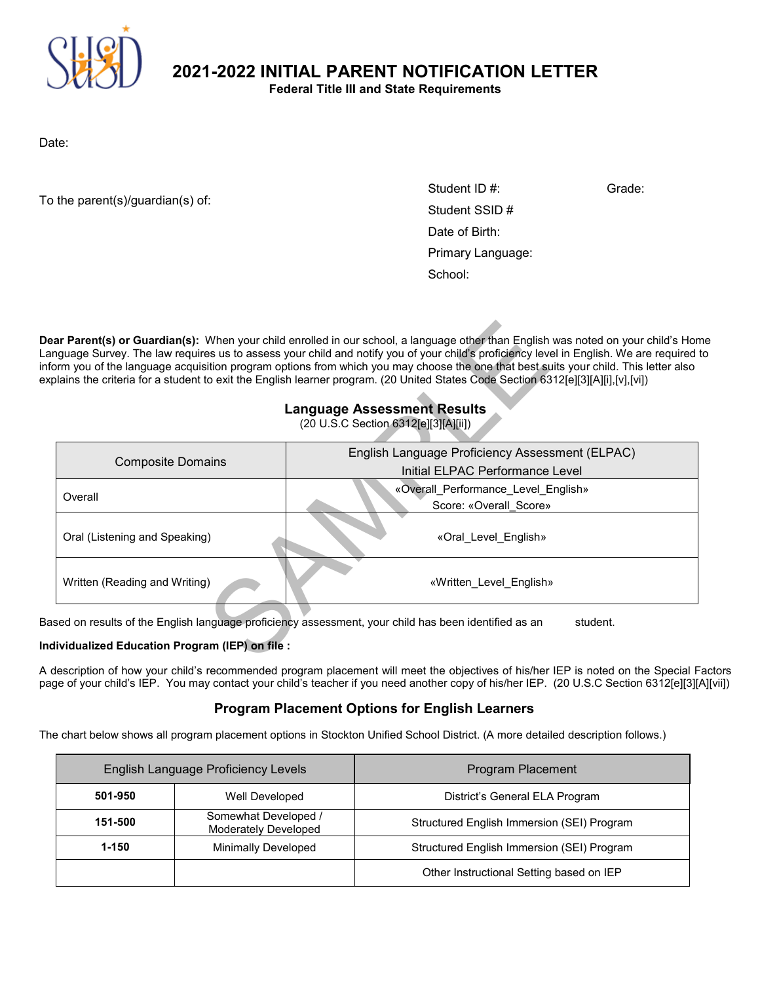

**2021-2022 INITIAL PARENT NOTIFICATION LETTER**

**Federal Title III and State Requirements**

Date:

To the parent(s)/guardian(s) of:

Student SSID # «First» «Last $\sim$  Last $\sim$  Last $\sim$  Last $\sim$ Date of Birth: «Date\_of\_Birth» Primary Language: «Primary Language  $\sim$ Student ID #: Grade: Date of Birth: Primary Language: School:

#### **Language Assessment Results** (20 U.S.C Section 6312[e][3][A][ii])

|                                                                                                                  | ar Parent(s) or Guardian(s): When your child enrolled in our school, a language other than English was noted on your child's Hon<br>nguage Survey. The law requires us to assess your child and notify you of your child's proficiency level in English. We are required<br>orm you of the language acquisition program options from which you may choose the one that best suits your child. This letter also<br>plains the criteria for a student to exit the English learner program. (20 United States Code Section 6312[e][3][A][i],[v],[vi])<br><b>Language Assessment Results</b><br>(20 U.S.C Section 6312[e][3][A][ii]) |  |  |
|------------------------------------------------------------------------------------------------------------------|----------------------------------------------------------------------------------------------------------------------------------------------------------------------------------------------------------------------------------------------------------------------------------------------------------------------------------------------------------------------------------------------------------------------------------------------------------------------------------------------------------------------------------------------------------------------------------------------------------------------------------|--|--|
| <b>Composite Domains</b>                                                                                         | English Language Proficiency Assessment (ELPAC)                                                                                                                                                                                                                                                                                                                                                                                                                                                                                                                                                                                  |  |  |
|                                                                                                                  | Initial ELPAC Performance Level                                                                                                                                                                                                                                                                                                                                                                                                                                                                                                                                                                                                  |  |  |
| Overall                                                                                                          | «Overall_Performance_Level_English»                                                                                                                                                                                                                                                                                                                                                                                                                                                                                                                                                                                              |  |  |
|                                                                                                                  | Score: «Overall Score»                                                                                                                                                                                                                                                                                                                                                                                                                                                                                                                                                                                                           |  |  |
| Oral (Listening and Speaking)                                                                                    | «Oral_Level_English»                                                                                                                                                                                                                                                                                                                                                                                                                                                                                                                                                                                                             |  |  |
| Written (Reading and Writing)                                                                                    | «Written Level English»                                                                                                                                                                                                                                                                                                                                                                                                                                                                                                                                                                                                          |  |  |
| ised on results of the English language proficiency assessment, your child has been identified as an<br>student. |                                                                                                                                                                                                                                                                                                                                                                                                                                                                                                                                                                                                                                  |  |  |
| dividualized Education Program (IEP) on file :                                                                   |                                                                                                                                                                                                                                                                                                                                                                                                                                                                                                                                                                                                                                  |  |  |

#### **Individualized Education Program (IEP) on file :**

A description of how your child's recommended program placement will meet the objectives of his/her IEP is noted on the Special Factors page of your child's IEP. You may contact your child's teacher if you need another copy of his/her IEP. (20 U.S.C Section 6312[e][3][A][vii])

# **Program Placement Options for English Learners**

The chart below shows all program placement options in Stockton Unified School District. (A more detailed description follows.)

|           | English Language Proficiency Levels                 | Program Placement                          |
|-----------|-----------------------------------------------------|--------------------------------------------|
| 501-950   | Well Developed                                      | District's General ELA Program             |
| 151-500   | Somewhat Developed /<br><b>Moderately Developed</b> | Structured English Immersion (SEI) Program |
| $1 - 150$ | <b>Minimally Developed</b>                          | Structured English Immersion (SEI) Program |
|           |                                                     | Other Instructional Setting based on IEP   |